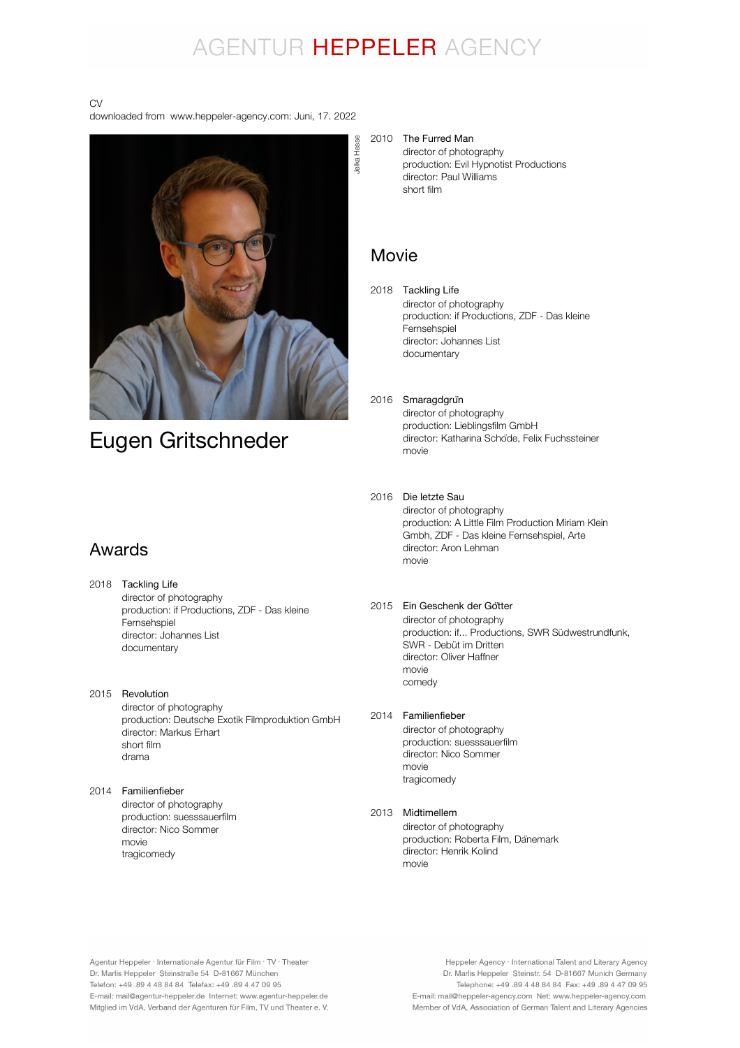# AGENTUR HEPPELER AGENCY

CV

downloaded from www.heppeler-agency.com: Juni, 17. 2022



## Eugen Gritschneder

## Awards

- 2018 Tackling Life director of photography production: if Productions, ZDF - Das kleine **Fernsehspiel** director: Johannes List documentary
- 2015 Revolution director of photography production: Deutsche Exotik Filmproduktion GmbH director: Markus Erhart short film drama

### 2014 Familienfieber

director of photography production: suesssauerfilm director: Nico Sommer movie tragicomedy

#### 2010 The Furred Man

director of photography production: Evil Hypnotist Productions director: Paul Williams short film

### Movie

2018 Tackling Life director of photography production: if Productions, ZDF - Das kleine Fernsehspiel director: Johannes List documentary

## 2016 Smaragdgrün

director of photography production: Lieblingsfilm GmbH director: Katharina Schöde, Felix Fuchssteiner movie

### 2016 Die letzte Sau

director of photography production: A Little Film Production Miriam Klein Gmbh, ZDF - Das kleine Fernsehspiel, Arte director: Aron Lehman movie

### 2015 Ein Geschenk der Götter

director of photography production: if... Productions, SWR Südwestrundfunk, SWR - Debüt im Dritten director: Oliver Haffner movie comedy

### 2014 Familienfieber

director of photography production: suesssauerfilm director: Nico Sommer movie tragicomedy

### 2013 Midtimellem

director of photography production: Roberta Film, Dänemark director: Henrik Kolind movie

Agentur Heppeler · Internationale Agentur für Film · TV · Theater Dr. Marlis Heppeler Steinstraße 54 D-81667 München Telefon: +49.89 4 48 84 84 Telefax: +49.89 4 47 09 95 E-mail: mail@agentur-heppeler.de Internet: www.agentur-heppeler.de Mitglied im VdA, Verband der Agenturen für Film, TV und Theater e. V.